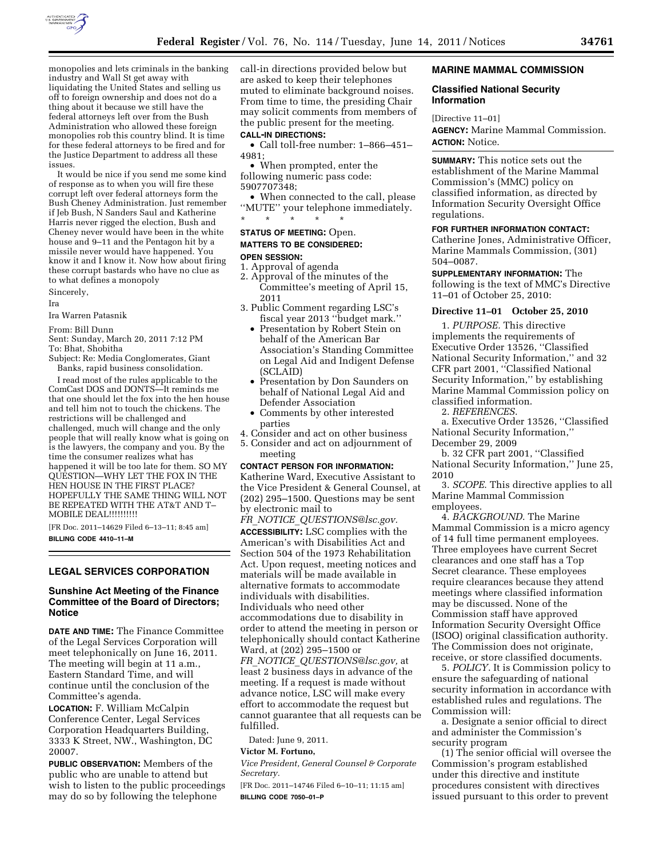

monopolies and lets criminals in the banking industry and Wall St get away with liquidating the United States and selling us off to foreign ownership and does not do a thing about it because we still have the federal attorneys left over from the Bush Administration who allowed these foreign monopolies rob this country blind. It is time for these federal attorneys to be fired and for the Justice Department to address all these issues.

It would be nice if you send me some kind of response as to when you will fire these corrupt left over federal attorneys form the Bush Cheney Administration. Just remember if Jeb Bush, N Sanders Saul and Katherine Harris never rigged the election, Bush and Cheney never would have been in the white house and 9–11 and the Pentagon hit by a missile never would have happened. You know it and I know it. Now how about firing these corrupt bastards who have no clue as to what defines a monopoly Sincerely,

#### Ira

Ira Warren Patasnik

From: Bill Dunn

Sent: Sunday, March 20, 2011 7:12 PM To: Bhat, Shobitha

Subject: Re: Media Conglomerates, Giant Banks, rapid business consolidation.

I read most of the rules applicable to the ComCast DOS and DONTS—It reminds me that one should let the fox into the hen house and tell him not to touch the chickens. The restrictions will be challenged and challenged, much will change and the only people that will really know what is going on is the lawyers, the company and you. By the time the consumer realizes what has happened it will be too late for them. SO MY QUESTION—WHY LET THE FOX IN THE HEN HOUSE IN THE FIRST PLACE? HOPEFULLY THE SAME THING WILL NOT BE REPEATED WITH THE AT&T AND T– MOBILE DEAL!!!!!!!!!!

[FR Doc. 2011–14629 Filed 6–13–11; 8:45 am] **BILLING CODE 4410–11–M** 

## **LEGAL SERVICES CORPORATION**

#### **Sunshine Act Meeting of the Finance Committee of the Board of Directors; Notice**

**DATE AND TIME:** The Finance Committee of the Legal Services Corporation will meet telephonically on June 16, 2011. The meeting will begin at 11 a.m., Eastern Standard Time, and will continue until the conclusion of the Committee's agenda.

**LOCATION:** F. William McCalpin Conference Center, Legal Services Corporation Headquarters Building, 3333 K Street, NW., Washington, DC 20007.

**PUBLIC OBSERVATION:** Members of the public who are unable to attend but wish to listen to the public proceedings may do so by following the telephone

call-in directions provided below but are asked to keep their telephones muted to eliminate background noises. From time to time, the presiding Chair may solicit comments from members of the public present for the meeting.

## **CALL-IN DIRECTIONS:**

• Call toll-free number: 1–866–451– 4981;

• When prompted, enter the following numeric pass code: 5907707348;

• When connected to the call, please ''MUTE'' your telephone immediately. \* \* \* \* \*

# **STATUS OF MEETING:** Open. **MATTERS TO BE CONSIDERED:**

# **OPEN SESSION:**

- 1. Approval of agenda 2. Approval of the minutes of the
- Committee's meeting of April 15, 2011
- 3. Public Comment regarding LSC's fiscal year 2013 ''budget mark.''
	- Presentation by Robert Stein on behalf of the American Bar Association's Standing Committee on Legal Aid and Indigent Defense (SCLAID)
	- Presentation by Don Saunders on behalf of National Legal Aid and Defender Association
	- Comments by other interested parties
- 4. Consider and act on other business 5. Consider and act on adjournment of
- meeting

#### **CONTACT PERSON FOR INFORMATION:**

Katherine Ward, Executive Assistant to the Vice President & General Counsel, at (202) 295–1500. Questions may be sent by electronic mail to

*FR*\_*NOTICE*\_*[QUESTIONS@lsc.gov.](mailto:FR_NOTICE_QUESTIONS@lsc.gov)* 

**ACCESSIBILITY:** LSC complies with the American's with Disabilities Act and Section 504 of the 1973 Rehabilitation Act. Upon request, meeting notices and materials will be made available in alternative formats to accommodate individuals with disabilities. Individuals who need other accommodations due to disability in order to attend the meeting in person or telephonically should contact Katherine Ward, at (202) 295–1500 or *FR*\_*NOTICE*\_*[QUESTIONS@lsc.gov,](mailto:FR_NOTICE_QUESTIONS@lsc.gov)* at least 2 business days in advance of the meeting. If a request is made without advance notice, LSC will make every effort to accommodate the request but cannot guarantee that all requests can be fulfilled.

Dated: June 9, 2011.

#### **Victor M. Fortuno,**

*Vice President, General Counsel & Corporate Secretary.* 

[FR Doc. 2011–14746 Filed 6–10–11; 11:15 am] **BILLING CODE 7050–01–P** 

#### **MARINE MAMMAL COMMISSION**

#### **Classified National Security Information**

[Directive 11–01] **AGENCY:** Marine Mammal Commission. **ACTION:** Notice.

**SUMMARY:** This notice sets out the establishment of the Marine Mammal Commission's (MMC) policy on classified information, as directed by Information Security Oversight Office regulations.

#### **FOR FURTHER INFORMATION CONTACT:**

Catherine Jones, Administrative Officer, Marine Mammals Commission, (301) 504–0087.

**SUPPLEMENTARY INFORMATION:** The following is the text of MMC's Directive 11–01 of October 25, 2010:

#### **Directive 11–01 October 25, 2010**

1. *PURPOSE.* This directive implements the requirements of Executive Order 13526, ''Classified National Security Information,'' and 32 CFR part 2001, ''Classified National Security Information,'' by establishing Marine Mammal Commission policy on classified information.

2. *REFERENCES*.

a. Executive Order 13526, ''Classified National Security Information,'' December 29, 2009

b. 32 CFR part 2001, ''Classified National Security Information,'' June 25, 2010

3. *SCOPE*. This directive applies to all Marine Mammal Commission employees.

4. *BACKGROUND*. The Marine Mammal Commission is a micro agency of 14 full time permanent employees. Three employees have current Secret clearances and one staff has a Top Secret clearance. These employees require clearances because they attend meetings where classified information may be discussed. None of the Commission staff have approved Information Security Oversight Office (ISOO) original classification authority. The Commission does not originate, receive, or store classified documents.

5. *POLICY*. It is Commission policy to ensure the safeguarding of national security information in accordance with established rules and regulations. The Commission will:

a. Designate a senior official to direct and administer the Commission's security program

(1) The senior official will oversee the Commission's program established under this directive and institute procedures consistent with directives issued pursuant to this order to prevent